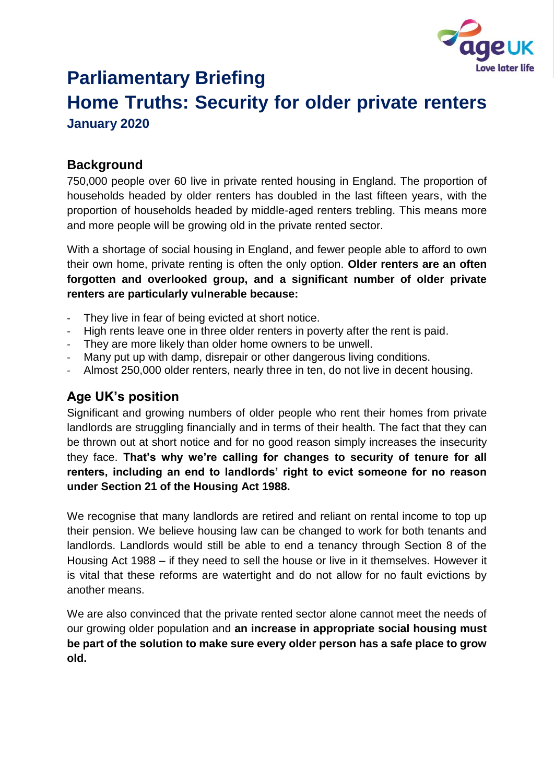

# **Parliamentary Briefing Home Truths: Security for older private renters January 2020**

**Background**

750,000 people over 60 live in private rented housing in England. The proportion of households headed by older renters has doubled in the last fifteen years, with the proportion of households headed by middle-aged renters trebling. This means more and more people will be growing old in the private rented sector.

With a shortage of social housing in England, and fewer people able to afford to own their own home, private renting is often the only option. **Older renters are an often forgotten and overlooked group, and a significant number of older private renters are particularly vulnerable because:**

- They live in fear of being evicted at short notice.
- High rents leave one in three older renters in poverty after the rent is paid.
- They are more likely than older home owners to be unwell.
- Many put up with damp, disrepair or other dangerous living conditions.
- Almost 250,000 older renters, nearly three in ten, do not live in decent housing.

## **Age UK's position**

Significant and growing numbers of older people who rent their homes from private landlords are struggling financially and in terms of their health. The fact that they can be thrown out at short notice and for no good reason simply increases the insecurity they face. **That's why we're calling for changes to security of tenure for all renters, including an end to landlords' right to evict someone for no reason under Section 21 of the Housing Act 1988.** 

We recognise that many landlords are retired and reliant on rental income to top up their pension. We believe housing law can be changed to work for both tenants and landlords. Landlords would still be able to end a tenancy through Section 8 of the Housing Act 1988 – if they need to sell the house or live in it themselves. However it is vital that these reforms are watertight and do not allow for no fault evictions by another means.

We are also convinced that the private rented sector alone cannot meet the needs of our growing older population and **an increase in appropriate social housing must be part of the solution to make sure every older person has a safe place to grow old.**